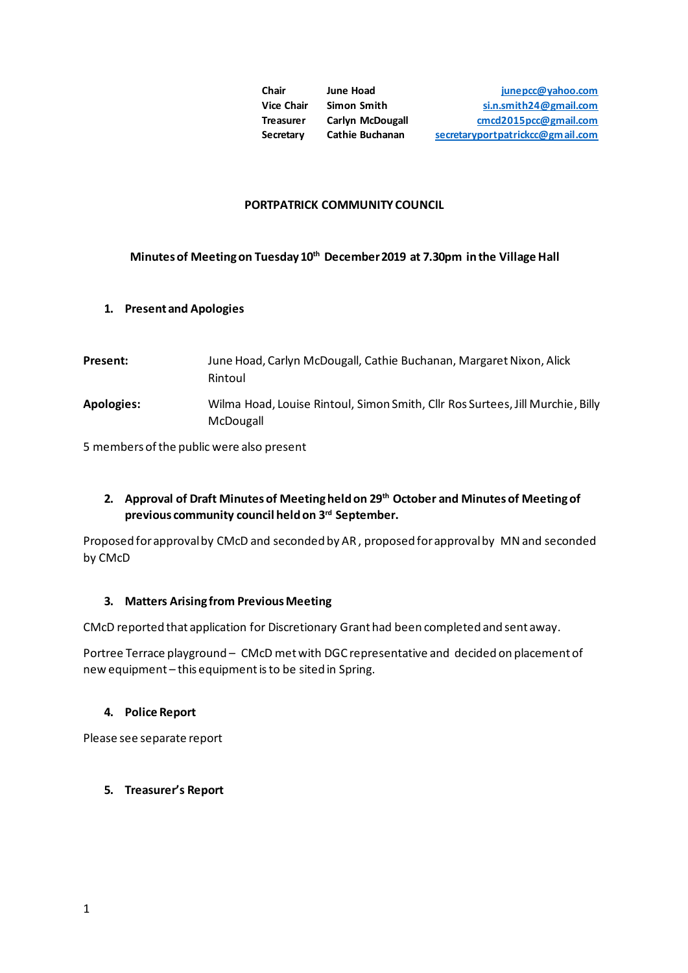| Chair             | June Hoad               | junepcc@yahoo.com                |
|-------------------|-------------------------|----------------------------------|
| <b>Vice Chair</b> | Simon Smith             | si.n.smith24@gmail.com           |
| <b>Treasurer</b>  | <b>Carlyn McDougall</b> | cmcd2015pcc@gmail.com            |
| Secretary         | <b>Cathie Buchanan</b>  | secretaryportpatrickcc@gmail.com |

### **PORTPATRICK COMMUNITY COUNCIL**

# **Minutes of Meeting on Tuesday 10th December 2019 at 7.30pm in the Village Hall**

## **1. Present and Apologies**

**Present:** June Hoad, Carlyn McDougall, Cathie Buchanan, Margaret Nixon, Alick Rintoul **Apologies:** Wilma Hoad, Louise Rintoul, Simon Smith, Cllr Ros Surtees, Jill Murchie, Billy McDougall

5 members of the public were also present

# **2. Approval of Draft Minutes of Meeting held on 29th October and Minutes of Meeting of previous community council held on 3rd September.**

Proposed for approval by CMcD and seconded by AR , proposed for approval by MN and seconded by CMcD

## **3. Matters Arising from Previous Meeting**

CMcD reported that application for Discretionary Grant had been completed and sent away.

Portree Terrace playground – CMcD met with DGC representative and decided on placement of new equipment – this equipment is to be sited in Spring.

## **4. Police Report**

Please see separate report

# **5. Treasurer's Report**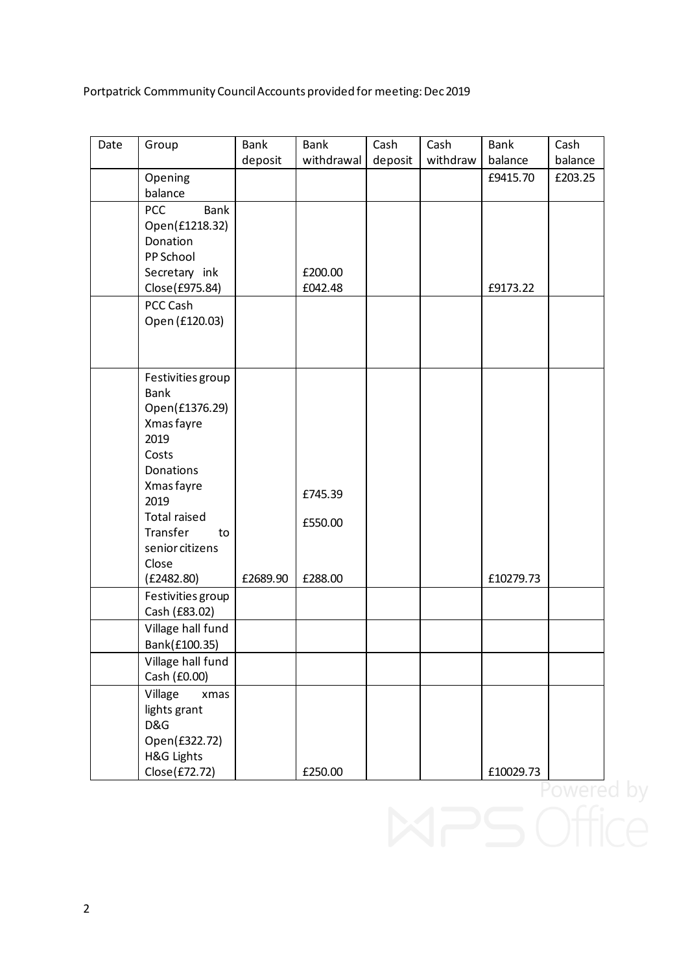Portpatrick Commmunity Council Accounts provided for meeting: Dec 2019

| Date | Group                             | Bank<br>deposit | <b>Bank</b><br>withdrawal | Cash<br>deposit | Cash<br>withdraw | <b>Bank</b><br>balance | Cash<br>balance |
|------|-----------------------------------|-----------------|---------------------------|-----------------|------------------|------------------------|-----------------|
|      | Opening                           |                 |                           |                 |                  | £9415.70               | £203.25         |
|      | balance                           |                 |                           |                 |                  |                        |                 |
|      | <b>PCC</b><br><b>Bank</b>         |                 |                           |                 |                  |                        |                 |
|      | Open(£1218.32)                    |                 |                           |                 |                  |                        |                 |
|      | Donation<br>PP School             |                 |                           |                 |                  |                        |                 |
|      | Secretary ink                     |                 | £200.00                   |                 |                  |                        |                 |
|      | Close(£975.84)                    |                 | £042.48                   |                 |                  | £9173.22               |                 |
|      | PCC Cash                          |                 |                           |                 |                  |                        |                 |
|      | Open (£120.03)                    |                 |                           |                 |                  |                        |                 |
|      |                                   |                 |                           |                 |                  |                        |                 |
|      |                                   |                 |                           |                 |                  |                        |                 |
|      | Festivities group                 |                 |                           |                 |                  |                        |                 |
|      | <b>Bank</b>                       |                 |                           |                 |                  |                        |                 |
|      | Open(£1376.29)                    |                 |                           |                 |                  |                        |                 |
|      | Xmas fayre                        |                 |                           |                 |                  |                        |                 |
|      | 2019<br>Costs                     |                 |                           |                 |                  |                        |                 |
|      | <b>Donations</b>                  |                 |                           |                 |                  |                        |                 |
|      | Xmas fayre                        |                 |                           |                 |                  |                        |                 |
|      | 2019                              |                 | £745.39                   |                 |                  |                        |                 |
|      | <b>Total raised</b>               |                 | £550.00                   |                 |                  |                        |                 |
|      | Transfer<br>to                    |                 |                           |                 |                  |                        |                 |
|      | senior citizens                   |                 |                           |                 |                  |                        |                 |
|      | Close<br>(E2482.80)               | £2689.90        | £288.00                   |                 |                  | £10279.73              |                 |
|      | Festivities group                 |                 |                           |                 |                  |                        |                 |
|      | Cash (£83.02)                     |                 |                           |                 |                  |                        |                 |
|      | Village hall fund                 |                 |                           |                 |                  |                        |                 |
|      | Bank(£100.35)                     |                 |                           |                 |                  |                        |                 |
|      | Village hall fund<br>Cash (£0.00) |                 |                           |                 |                  |                        |                 |
|      | Village<br>xmas                   |                 |                           |                 |                  |                        |                 |
|      | lights grant                      |                 |                           |                 |                  |                        |                 |
|      | D&G                               |                 |                           |                 |                  |                        |                 |
|      | Open(£322.72)                     |                 |                           |                 |                  |                        |                 |
|      | H&G Lights                        |                 |                           |                 |                  |                        |                 |
|      | Close(£72.72)                     |                 | £250.00                   |                 |                  | £10029.73              |                 |
|      |                                   |                 |                           |                 |                  |                        | Powered I       |
|      |                                   |                 |                           |                 |                  |                        |                 |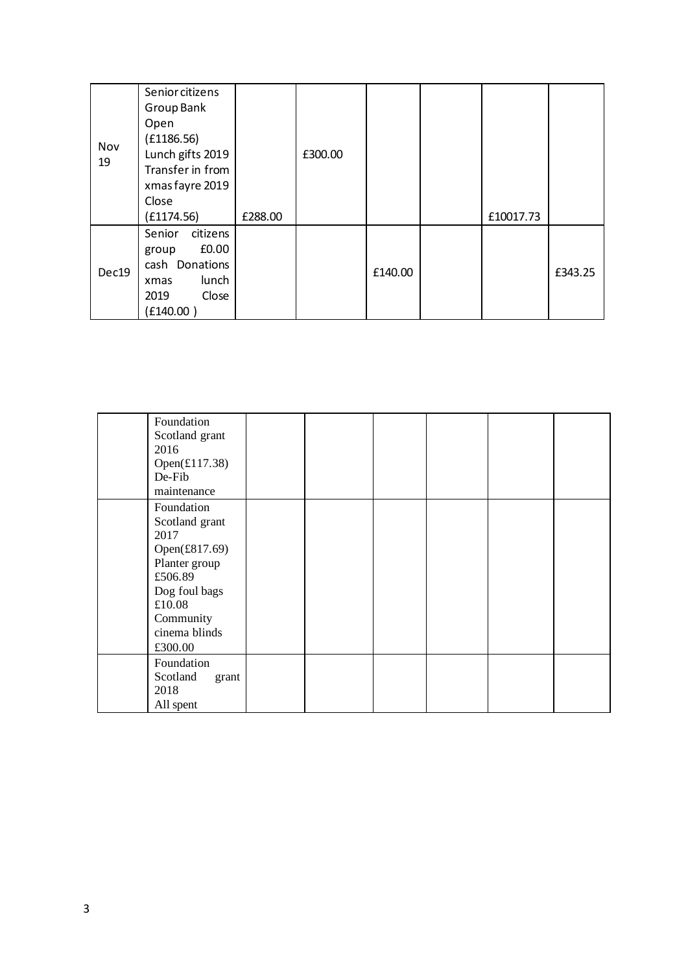| Nov<br>19 | Senior citizens<br>Group Bank<br>Open<br>(E1186.56)<br>Lunch gifts 2019<br>Transfer in from<br>xmas fayre 2019 |         | £300.00 |         |           |         |
|-----------|----------------------------------------------------------------------------------------------------------------|---------|---------|---------|-----------|---------|
|           | Close<br>(E1174.56)                                                                                            | £288.00 |         |         | £10017.73 |         |
| Dec19     | citizens<br>Senior<br>£0.00<br>group<br>cash Donations<br>lunch<br>xmas<br>Close<br>2019<br>(£140.00)          |         |         | £140.00 |           | £343.25 |

| Foundation<br>Scotland grant<br>2016<br>Open $(\text{\textsterling}117.38)$<br>De-Fib<br>maintenance                                                  |  |  |  |
|-------------------------------------------------------------------------------------------------------------------------------------------------------|--|--|--|
| Foundation<br>Scotland grant<br>2017<br>Open(£817.69)<br>Planter group<br>£506.89<br>Dog foul bags<br>£10.08<br>Community<br>cinema blinds<br>£300.00 |  |  |  |
| Foundation<br>Scotland<br>grant<br>2018<br>All spent                                                                                                  |  |  |  |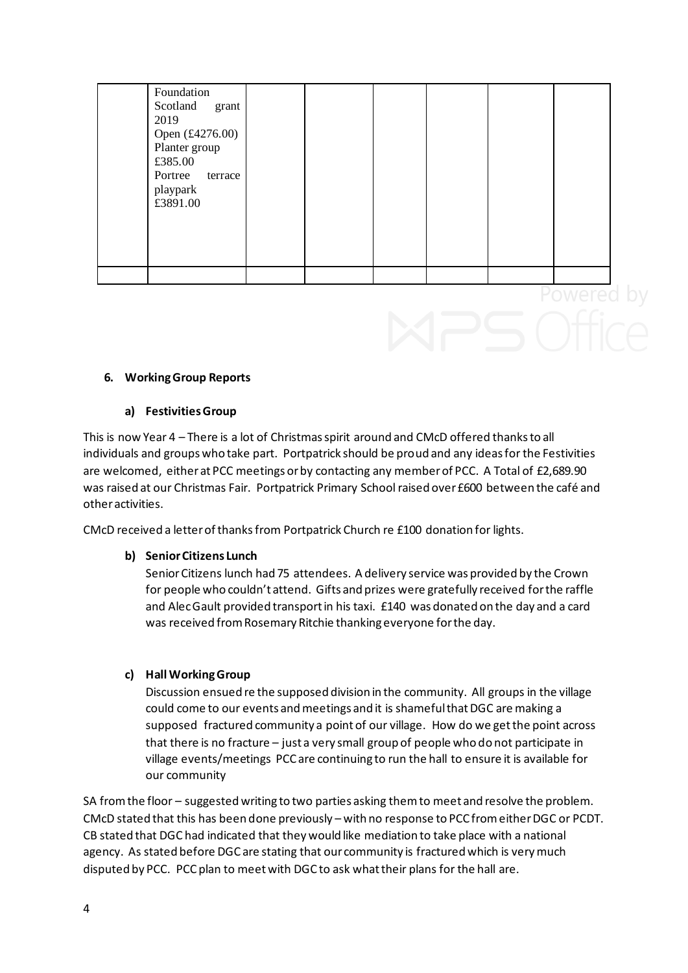| Foundation<br>Scotland<br>grant<br>2019<br>Open (£4276.00)<br>Planter group<br>£385.00<br>Portree<br>terrace<br>playpark<br>£3891.00 |  |  |  |  |
|--------------------------------------------------------------------------------------------------------------------------------------|--|--|--|--|
|                                                                                                                                      |  |  |  |  |

## **6. Working Group Reports**

## **a) Festivities Group**

This is now Year 4 – There is a lot of Christmas spirit around and CMcD offered thanks to all individuals and groups who take part. Portpatrick should be proud and any ideas for the Festivities are welcomed, either at PCC meetings or by contacting any member of PCC. A Total of £2,689.90 was raised at our Christmas Fair. Portpatrick Primary School raised over £600 between the café and other activities.

CMcD received a letter of thanks from Portpatrick Church re £100 donation for lights.

## **b) Senior Citizens Lunch**

Senior Citizens lunch had 75 attendees. A delivery service was provided by the Crown for people who couldn't attend. Gifts and prizes were gratefully received for the raffle and Alec Gault provided transport in his taxi. £140 was donated on the day and a card was received from Rosemary Ritchie thanking everyone for the day.

## **c) Hall Working Group**

Discussion ensued re the supposed division in the community. All groups in the village could come to our events and meetings and it is shameful that DGC are making a supposed fractured community a point of our village. How do we get the point across that there is no fracture – just a very small group of people who do not participate in village events/meetings PCC are continuing to run the hall to ensure it is available for our community

SA from the floor – suggested writing to two parties asking them to meet and resolve the problem. CMcD stated that this has been done previously – with no response to PCC from either DGC or PCDT. CB stated that DGC had indicated that they would like mediation to take place with a national agency. As stated before DGC are stating that our community is fractured which is very much disputed by PCC. PCC plan to meet with DGC to ask what their plans for the hall are.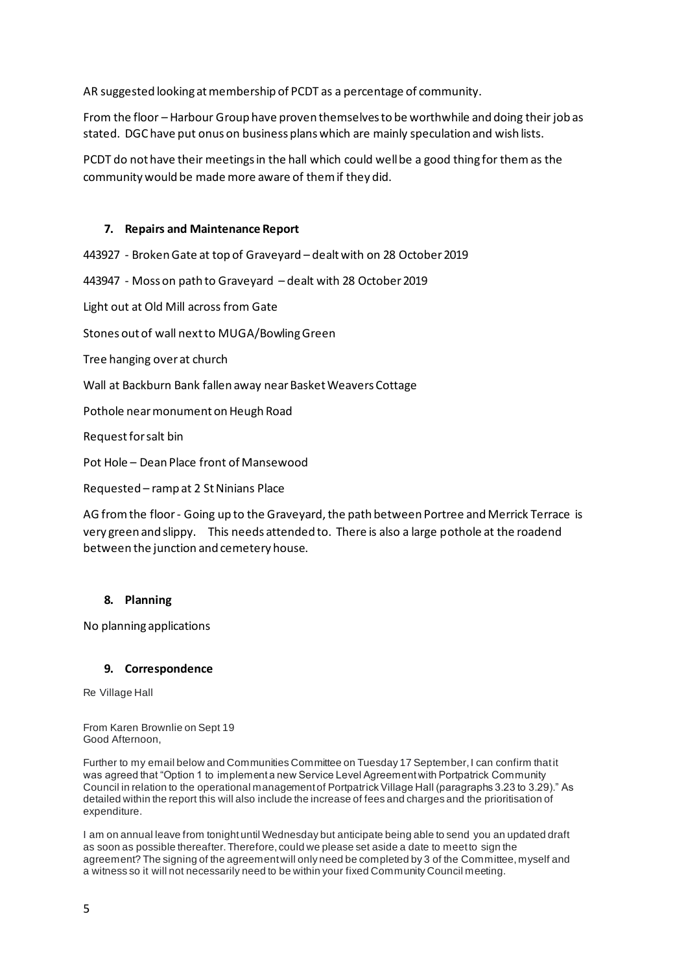AR suggested looking at membership of PCDT as a percentage of community.

From the floor – Harbour Group have proven themselves to be worthwhile and doing their job as stated. DGC have put onus on business plans which are mainly speculation and wish lists.

PCDT do not have their meetings in the hall which could well be a good thing for them as the community would be made more aware of them if they did.

## **7. Repairs and Maintenance Report**

443927 - Broken Gate at top of Graveyard – dealt with on 28 October 2019

443947 - Moss on path to Graveyard – dealt with 28 October 2019

Light out at Old Mill across from Gate

Stones out of wall next to MUGA/Bowling Green

Tree hanging over at church

Wall at Backburn Bank fallen away near Basket Weavers Cottage

Pothole near monument on Heugh Road

Request for salt bin

Pot Hole – Dean Place front of Mansewood

Requested – ramp at 2 St Ninians Place

AG from the floor - Going up to the Graveyard, the path between Portree and Merrick Terrace is very green and slippy. This needs attended to. There is also a large pothole at the roadend between the junction and cemetery house.

### **8. Planning**

No planning applications

### **9. Correspondence**

Re Village Hall

From Karen Brownlie on Sept 19 Good Afternoon,

Further to my email below and Communities Committee on Tuesday 17 September, I can confirm that it was agreed that "Option 1 to implement a new Service Level Agreement with Portpatrick Community Council in relation to the operational management of Portpatrick Village Hall (paragraphs 3.23 to 3.29)." As detailed within the report this will also include the increase of fees and charges and the prioritisation of expenditure.

I am on annual leave from tonight until Wednesday but anticipate being able to send you an updated draft as soon as possible thereafter. Therefore, could we please set aside a date to meet to sign the agreement? The signing of the agreement will only need be completed by 3 of the Committee, myself and a witness so it will not necessarily need to be within your fixed Community Council meeting.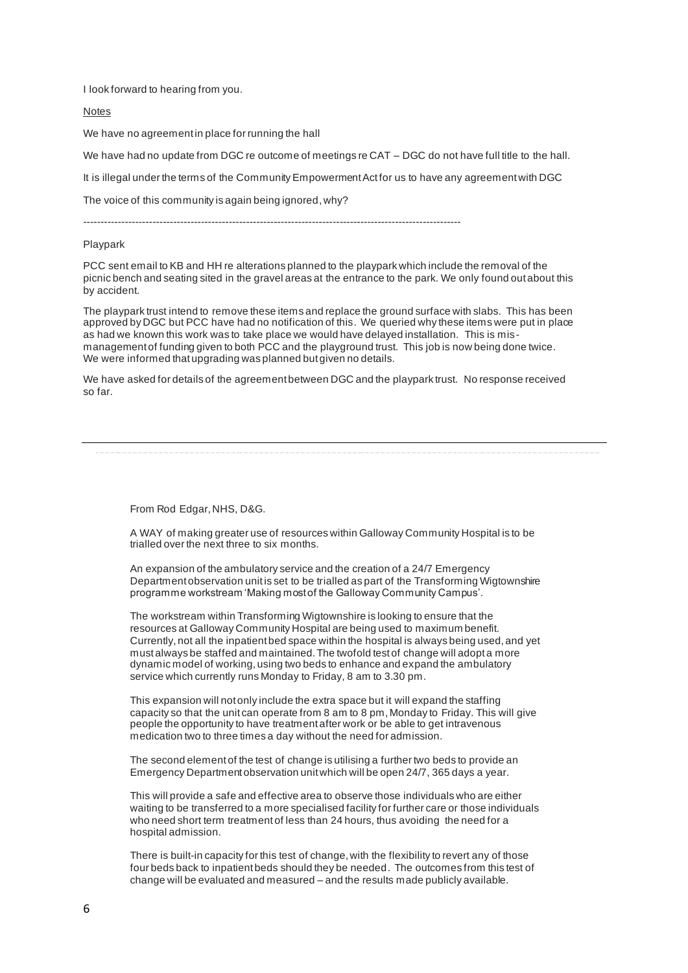I look forward to hearing from you.

Notes

We have no agreement in place for running the hall

We have had no update from DGC re outcome of meetings re CAT – DGC do not have full title to the hall.

It is illegal under the terms of the Community Empowerment Act for us to have any agreement with DGC

The voice of this community is again being ignored, why?

-------------------------------------------------------------------------------------------------------------

#### Playpark

PCC sent email to KB and HH re alterations planned to the playpark which include the removal of the picnic bench and seating sited in the gravel areas at the entrance to the park. We only found out about this by accident.

The playpark trust intend to remove these items and replace the ground surface with slabs. This has been approved by DGC but PCC have had no notification of this. We queried why these items were put in place as had we known this work was to take place we would have delayed installation. This is mismanagement of funding given to both PCC and the playground trust. This job is now being done twice. We were informed that upgrading was planned but given no details.

We have asked for details of the agreement between DGC and the playpark trust. No response received so far.

From Rod Edgar, NHS, D&G.

A WAY of making greater use of resources within Galloway Community Hospital is to be trialled over the next three to six months.

An expansion of the ambulatory service and the creation of a 24/7 Emergency Department observation unit is set to be trialled as part of the Transforming Wigtownshire programme workstream 'Making most of the Galloway Community Campus'.

The workstream within Transforming Wigtownshire is looking to ensure that the resources at Galloway Community Hospital are being used to maximum benefit. Currently, not all the inpatient bed space within the hospital is always being used, and yet must always be staffed and maintained. The twofold test of change will adopt a more dynamic model of working, using two beds to enhance and expand the ambulatory service which currently runs Monday to Friday, 8 am to 3.30 pm.

This expansion will not only include the extra space but it will expand the staffing capacity so that the unit can operate from 8 am to 8 pm, Monday to Friday. This will give people the opportunity to have treatment after work or be able to get intravenous medication two to three times a day without the need for admission.

The second element of the test of change is utilising a further two beds to provide an Emergency Department observation unit which will be open 24/7, 365 days a year.

This will provide a safe and effective area to observe those individuals who are either waiting to be transferred to a more specialised facility for further care or those individuals who need short term treatment of less than 24 hours, thus avoiding the need for a hospital admission.

There is built-in capacity for this test of change, with the flexibility to revert any of those four beds back to inpatient beds should they be needed. The outcomes from this test of change will be evaluated and measured – and the results made publicly available.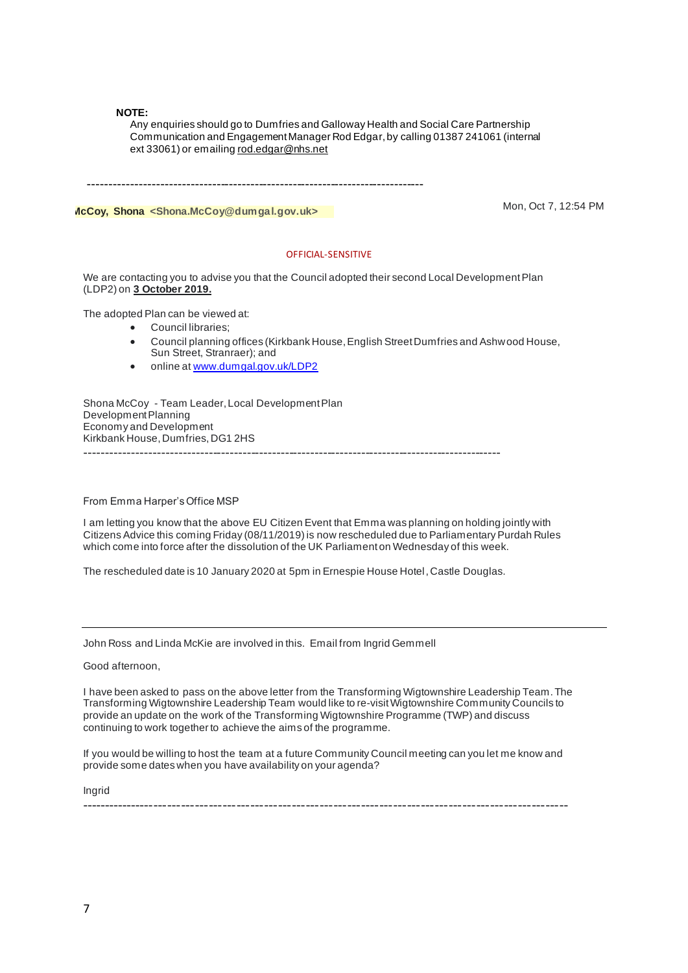#### **NOTE:**

Any enquiries should go to Dumfries and Galloway Health and Social Care Partnership Communication and Engagement Manager Rod Edgar, by calling 01387 241061 (internal ext 33061) or emailin[g rod.edgar@nhs.net](mailto:rod.edgar@nhs.net)

-------------------------------------------------------------------------------

**McCoy, Shona <Shona.McCoy@dumgal.gov.uk>** Mon, Oct 7, 12:54 PM

#### OFFICIAL-SENSITIVE

We are contacting you to advise you that the Council adopted their second Local Development Plan (LDP2) on **3 October 2019.**

The adopted Plan can be viewed at:

- Council libraries;
- Council planning offices (Kirkbank House, English Street Dumfries and Ashwood House, Sun Street, Stranraer); and
- online a[t www.dumgal.gov.uk/LDP2](http://www.dumgal.gov.uk/LDP2)

Shona McCoy - Team Leader, Local Development Plan Development Planning Economy and Development Kirkbank House, Dumfries, DG1 2HS --------------------------------------------------------------------------------------------------

From Emma Harper's Office MSP

I am letting you know that the above EU Citizen Event that Emma was planning on holding jointly with Citizens Advice this coming Friday (08/11/2019) is now rescheduled due to Parliamentary Purdah Rules which come into force after the dissolution of the UK Parliament on Wednesday of this week.

The rescheduled date is 10 January 2020 at 5pm in Ernespie House Hotel, Castle Douglas.

John Ross and Linda McKie are involved in this. Email from Ingrid Gemmell

Good afternoon,

I have been asked to pass on the above letter from the Transforming Wigtownshire Leadership Team. The Transforming Wigtownshire Leadership Team would like to re-visit Wigtownshire Community Councils to provide an update on the work of the Transforming Wigtownshire Programme (TWP) and discuss continuing to work together to achieve the aims of the programme.

If you would be willing to host the team at a future Community Council meeting can you let me know and provide some dates when you have availability on your agenda?

----------------------------------------------------------------------------------------------------------

Ingrid